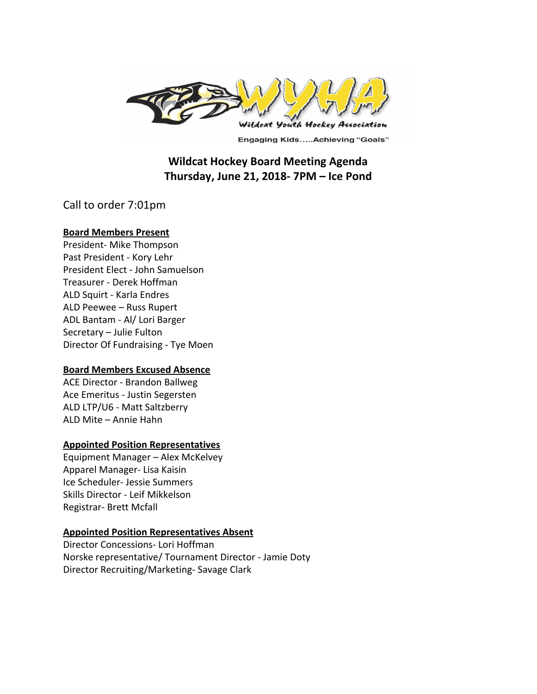

**Engaging Kids.....Achieving "Goals"** 

# **Wildcat Hockey Board Meeting Agenda Thursday, June 21, 2018- 7PM – Ice Pond**

Call to order 7:01pm

#### **Board Members Present**

President- Mike Thompson Past President - Kory Lehr President Elect - John Samuelson Treasurer - Derek Hoffman ALD Squirt - Karla Endres ALD Peewee – Russ Rupert ADL Bantam - Al/ Lori Barger Secretary – Julie Fulton Director Of Fundraising - Tye Moen

#### **Board Members Excused Absence**

ACE Director - Brandon Ballweg Ace Emeritus - Justin Segersten ALD LTP/U6 - Matt Saltzberry ALD Mite – Annie Hahn

### **Appointed Position Representatives**

Equipment Manager – Alex McKelvey Apparel Manager- Lisa Kaisin Ice Scheduler- Jessie Summers Skills Director - Leif Mikkelson Registrar- Brett Mcfall

### **Appointed Position Representatives Absent**

Director Concessions- Lori Hoffman Norske representative/ Tournament Director - Jamie Doty Director Recruiting/Marketing- Savage Clark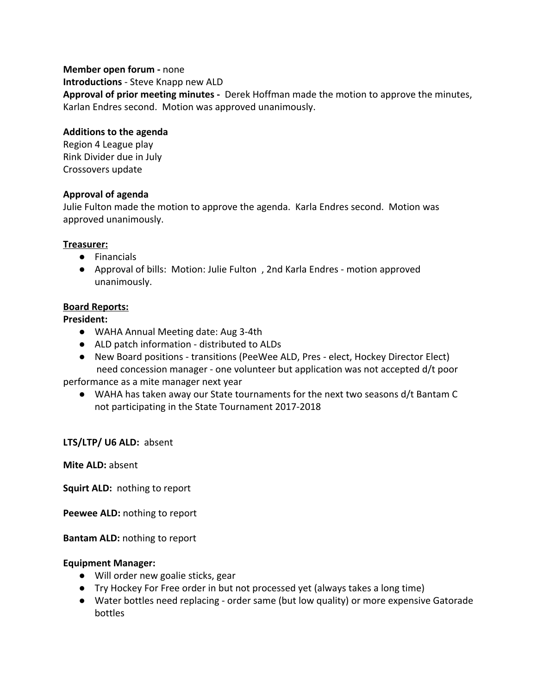### **Member open forum -** none

**Introductions** - Steve Knapp new ALD

**Approval of prior meeting minutes -** Derek Hoffman made the motion to approve the minutes, Karlan Endres second. Motion was approved unanimously.

## **Additions to the agenda**

Region 4 League play Rink Divider due in July Crossovers update

# **Approval of agenda**

Julie Fulton made the motion to approve the agenda. Karla Endres second. Motion was approved unanimously.

## **Treasurer:**

- Financials
- Approval of bills: Motion: Julie Fulton , 2nd Karla Endres motion approved unanimously.

## **Board Reports:**

## **President:**

- WAHA Annual Meeting date: Aug 3-4th
- ALD patch information distributed to ALDs
- New Board positions transitions (PeeWee ALD, Pres elect, Hockey Director Elect) need concession manager - one volunteer but application was not accepted d/t poor

performance as a mite manager next year

● WAHA has taken away our State tournaments for the next two seasons d/t Bantam C not participating in the State Tournament 2017-2018

# **LTS/LTP/ U6 ALD:** absent

**Mite ALD:** absent

**Squirt ALD:** nothing to report

**Peewee ALD:** nothing to report

**Bantam ALD:** nothing to report

### **Equipment Manager:**

- Will order new goalie sticks, gear
- Try Hockey For Free order in but not processed yet (always takes a long time)
- Water bottles need replacing order same (but low quality) or more expensive Gatorade bottles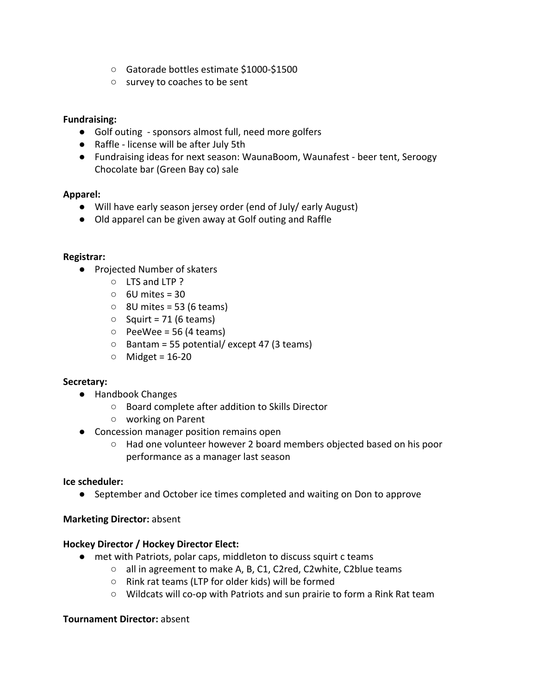- Gatorade bottles estimate \$1000-\$1500
- survey to coaches to be sent

## **Fundraising:**

- Golf outing sponsors almost full, need more golfers
- Raffle license will be after July 5th
- Fundraising ideas for next season: WaunaBoom, Waunafest beer tent, Seroogy Chocolate bar (Green Bay co) sale

## **Apparel:**

- Will have early season jersey order (end of July/ early August)
- Old apparel can be given away at Golf outing and Raffle

## **Registrar:**

- Projected Number of skaters
	- LTS and LTP ?
	- $\circ$  6U mites = 30
	- $\circ$  8U mites = 53 (6 teams)
	- $\circ$  Squirt = 71 (6 teams)
	- $\circ$  PeeWee = 56 (4 teams)
	- $\circ$  Bantam = 55 potential/ except 47 (3 teams)
	- $\circ$  Midget = 16-20

### **Secretary:**

- Handbook Changes
	- Board complete after addition to Skills Director
	- working on Parent
- Concession manager position remains open
	- Had one volunteer however 2 board members objected based on his poor performance as a manager last season

### **Ice scheduler:**

● September and October ice times completed and waiting on Don to approve

### **Marketing Director:** absent

### **Hockey Director / Hockey Director Elect:**

- met with Patriots, polar caps, middleton to discuss squirt c teams
	- all in agreement to make A, B, C1, C2red, C2white, C2blue teams
	- Rink rat teams (LTP for older kids) will be formed
	- Wildcats will co-op with Patriots and sun prairie to form a Rink Rat team

#### **Tournament Director:** absent